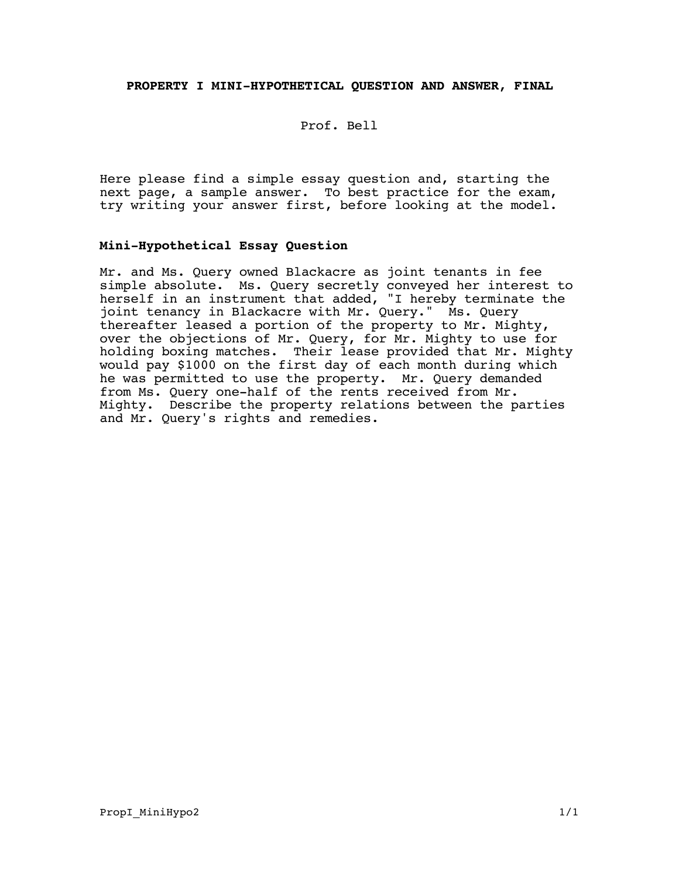## **PROPERTY I MINI-HYPOTHETICAL QUESTION AND ANSWER, FINAL**

Prof. Bell

Here please find a simple essay question and, starting the next page, a sample answer. To best practice for the exam, try writing your answer first, before looking at the model.

## **Mini-Hypothetical Essay Question**

Mr. and Ms. Query owned Blackacre as joint tenants in fee simple absolute. Ms. Query secretly conveyed her interest to herself in an instrument that added, "I hereby terminate the joint tenancy in Blackacre with Mr. Query." Ms. Query thereafter leased a portion of the property to Mr. Mighty, over the objections of Mr. Query, for Mr. Mighty to use for holding boxing matches. Their lease provided that Mr. Mighty would pay \$1000 on the first day of each month during which he was permitted to use the property. Mr. Query demanded from Ms. Query one-half of the rents received from Mr. Mighty. Describe the property relations between the parties and Mr. Query's rights and remedies.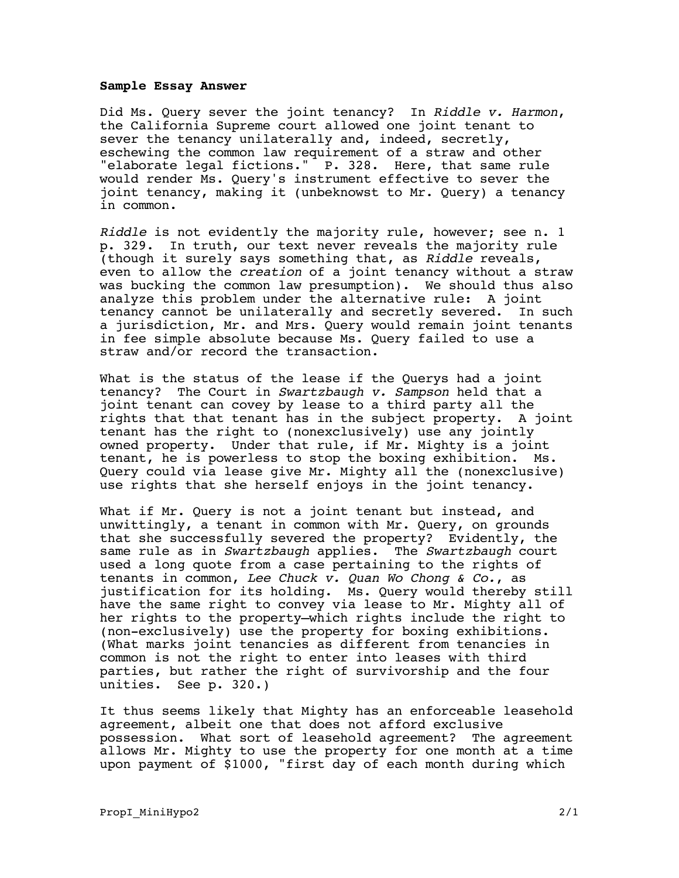## **Sample Essay Answer**

Did Ms. Query sever the joint tenancy? In Riddle v. Harmon, the California Supreme court allowed one joint tenant to sever the tenancy unilaterally and, indeed, secretly, eschewing the common law requirement of a straw and other "elaborate legal fictions." P. 328. Here, that same rule would render Ms. Query's instrument effective to sever the joint tenancy, making it (unbeknowst to Mr. Query) a tenancy in common.

Riddle is not evidently the majority rule, however; see n. 1 p. 329. In truth, our text never reveals the majority rule (though it surely says something that, as Riddle reveals, even to allow the creation of a joint tenancy without a straw was bucking the common law presumption). We should thus also analyze this problem under the alternative rule: A joint tenancy cannot be unilaterally and secretly severed. In such a jurisdiction, Mr. and Mrs. Query would remain joint tenants in fee simple absolute because Ms. Query failed to use a straw and/or record the transaction.

What is the status of the lease if the Querys had a joint tenancy? The Court in Swartzbaugh v. Sampson held that a joint tenant can covey by lease to a third party all the rights that that tenant has in the subject property. A joint tenant has the right to (nonexclusively) use any jointly owned property. Under that rule, if Mr. Mighty is a joint tenant, he is powerless to stop the boxing exhibition. Ms. Query could via lease give Mr. Mighty all the (nonexclusive) use rights that she herself enjoys in the joint tenancy.

What if Mr. Query is not a joint tenant but instead, and unwittingly, a tenant in common with Mr. Query, on grounds that she successfully severed the property? Evidently, the same rule as in Swartzbaugh applies. The Swartzbaugh court used a long quote from a case pertaining to the rights of tenants in common, Lee Chuck  $v$ . Quan Wo Chong  $\&$  Co., as justification for its holding. Ms. Query would thereby still have the same right to convey via lease to Mr. Mighty all of her rights to the property—which rights include the right to (non-exclusively) use the property for boxing exhibitions. (What marks joint tenancies as different from tenancies in common is not the right to enter into leases with third parties, but rather the right of survivorship and the four unities. See p. 320.)

It thus seems likely that Mighty has an enforceable leasehold agreement, albeit one that does not afford exclusive possession. What sort of leasehold agreement? The agreement allows Mr. Mighty to use the property for one month at a time upon payment of \$1000, "first day of each month during which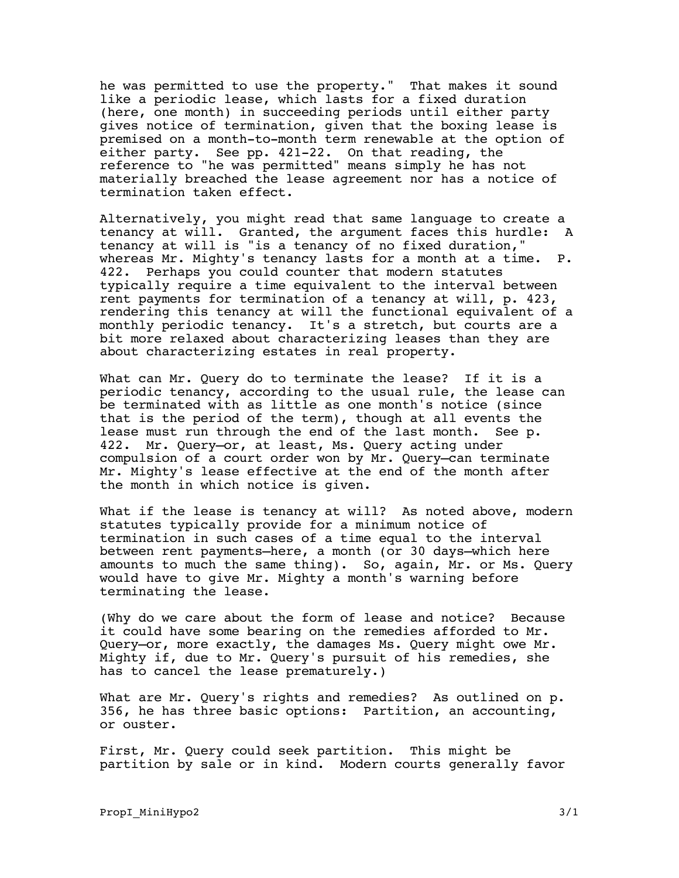he was permitted to use the property." That makes it sound like a periodic lease, which lasts for a fixed duration (here, one month) in succeeding periods until either party gives notice of termination, given that the boxing lease is premised on a month-to-month term renewable at the option of either party. See pp. 421-22. On that reading, the reference to "he was permitted" means simply he has not materially breached the lease agreement nor has a notice of termination taken effect.

Alternatively, you might read that same language to create a tenancy at will. Granted, the argument faces this hurdle: A tenancy at will is "is a tenancy of no fixed duration," whereas Mr. Mighty's tenancy lasts for a month at a time. P. 422. Perhaps you could counter that modern statutes typically require a time equivalent to the interval between rent payments for termination of a tenancy at will, p. 423, rendering this tenancy at will the functional equivalent of a monthly periodic tenancy. It's a stretch, but courts are a bit more relaxed about characterizing leases than they are about characterizing estates in real property.

What can Mr. Query do to terminate the lease? If it is a periodic tenancy, according to the usual rule, the lease can be terminated with as little as one month's notice (since that is the period of the term), though at all events the lease must run through the end of the last month. See p. 422. Mr. Query—or, at least, Ms. Query acting under compulsion of a court order won by Mr. Query—can terminate Mr. Mighty's lease effective at the end of the month after the month in which notice is given.

What if the lease is tenancy at will? As noted above, modern statutes typically provide for a minimum notice of termination in such cases of a time equal to the interval between rent payments—here, a month (or 30 days—which here amounts to much the same thing). So, again, Mr. or Ms. Query would have to give Mr. Mighty a month's warning before terminating the lease.

(Why do we care about the form of lease and notice? Because it could have some bearing on the remedies afforded to Mr. Query—or, more exactly, the damages Ms. Query might owe Mr. Mighty if, due to Mr. Query's pursuit of his remedies, she has to cancel the lease prematurely.)

What are Mr. Query's rights and remedies? As outlined on p. 356, he has three basic options: Partition, an accounting, or ouster.

First, Mr. Query could seek partition. This might be partition by sale or in kind. Modern courts generally favor